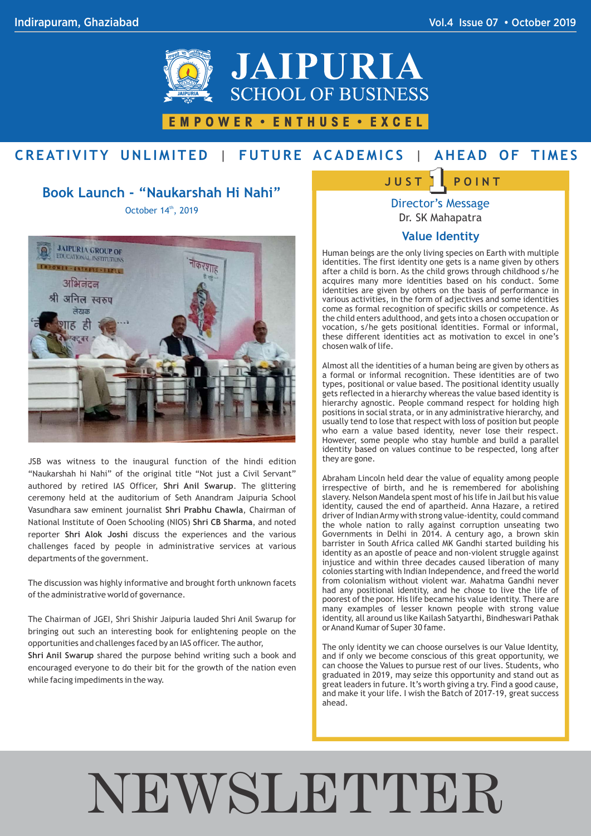

### EMPOWER · ENTHUSE · EXCEL

## CREATIVITY UNLIMITED | FUTURE ACADEMICS | AHEAD OF TIMES

#### **Book Launch - "Naukarshah Hi Nahi"**

October 14th, 2019



JSB was witness to the inaugural function of the hindi edition "Naukarshah hi Nahi" of the original title "Not just a Civil Servant" authored by retired IAS Officer, **Shri Anil Swarup**. The glittering ceremony held at the auditorium of Seth Anandram Jaipuria School Vasundhara saw eminent journalist **Shri Prabhu Chawla**, Chairman of National Institute of Ooen Schooling (NIOS) **Shri CB Sharma**, and noted reporter **Shri Alok Joshi** discuss the experiences and the various challenges faced by people in administrative services at various departments of the government.

The discussion was highly informative and brought forth unknown facets of the administrative world of governance.

The Chairman of JGEI, Shri Shishir Jaipuria lauded Shri Anil Swarup for bringing out such an interesting book for enlightening people on the opportunities and challenges faced by an IAS officer. The author,

**Shri Anil Swarup** shared the purpose behind writing such a book and encouraged everyone to do their bit for the growth of the nation even while facing impediments in the way.

## $\frac{1}{1}$  **POINT J U S T**

Director's Message Dr. SK Mahapatra

#### **Value Identity**

Human beings are the only living species on Earth with multiple identities. The first identity one gets is a name given by others after a child is born. As the child grows through childhood s/he acquires many more identities based on his conduct. Some identities are given by others on the basis of performance in various activities, in the form of adjectives and some identities come as formal recognition of specific skills or competence. As the child enters adulthood, and gets into a chosen occupation or vocation, s/he gets positional identities. Formal or informal, these different identities act as motivation to excel in one's chosen walk of life.

Almost all the identities of a human being are given by others as a formal or informal recognition. These identities are of two types, positional or value based. The positional identity usually gets reflected in a hierarchy whereas the value based identity is hierarchy agnostic. People command respect for holding high positions in social strata, or in any administrative hierarchy, and usually tend to lose that respect with loss of position but people who earn a value based identity, never lose their respect. However, some people who stay humble and build a parallel identity based on values continue to be respected, long after they are gone.

Abraham Lincoln held dear the value of equality among people irrespective of birth, and he is remembered for abolishing slavery. Nelson Mandela spent most of his life in Jail but his value identity, caused the end of apartheid. Anna Hazare, a retired driver of Indian Army with strong value-identity, could command the whole nation to rally against corruption unseating two Governments in Delhi in 2014. A century ago, a brown skin barrister in South Africa called MK Gandhi started building his identity as an apostle of peace and non-violent struggle against injustice and within three decades caused liberation of many colonies starting with Indian Independence, and freed the world from colonialism without violent war. Mahatma Gandhi never had any positional identity, and he chose to live the life of poorest of the poor. His life became his value identity. There are many examples of lesser known people with strong value identity, all around us like Kailash Satyarthi, Bindheswari Pathak or Anand Kumar of Super 30 fame.

The only identity we can choose ourselves is our Value Identity, and if only we become conscious of this great opportunity, we can choose the Values to pursue rest of our lives. Students, who graduated in 2019, may seize this opportunity and stand out as great leaders in future. It's worth giving a try. Find a good cause, and make it your life. I wish the Batch of 2017-19, great success ahead.

# NEWSLETTER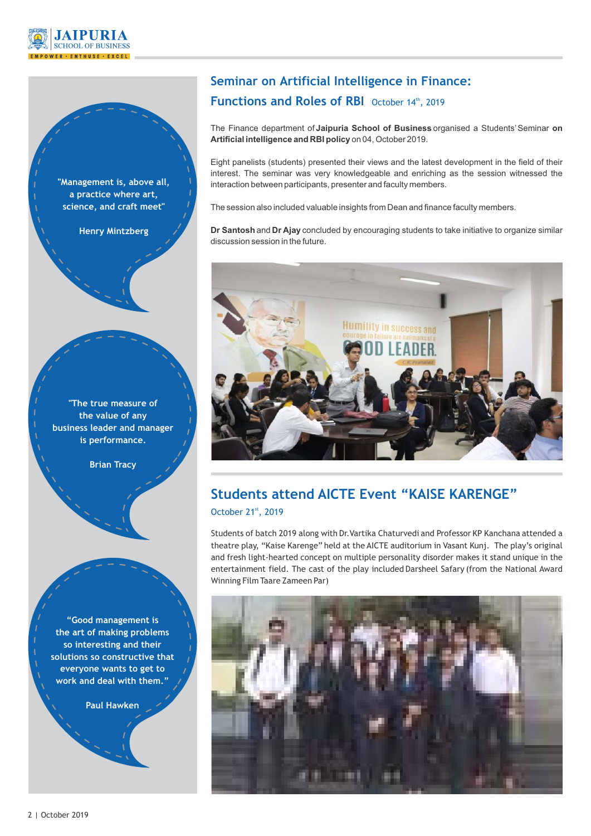



**a practice where art, science, and craft meet"**

**Henry Mintzberg**

**"The true measure of the value of any business leader and manager is performance.**

**Brian Tracy**

**"Good management is the art of making problems so interesting and their solutions so constructive that everyone wants to get to work and deal with them."**

**Paul Hawken**

## **Seminar on Artificial Intelligence in Finance: Functions and Roles of RBI** October 14th, 2019

The Finance department of **Jaipuria School of Business** organised a Students'Seminar **on Artificial intelligence and RBI policy** on 04, October 2019.

Eight panelists (students) presented their views and the latest development in the field of their interest. The seminar was very knowledgeable and enriching as the session witnessed the interaction between participants, presenter and faculty members.

The session also included valuable insights from Dean and finance faculty members.

**Dr Santosh** and **Dr Ajay** concluded by encouraging students to take initiative to organize similar discussion session in the future.



## **Students attend AICTE Event "KAISE KARENGE"** October 21st, 2019

Students of batch 2019 along with Dr.Vartika Chaturvedi and Professor KP Kanchana attended a theatre play, "Kaise Karenge" held at the AICTE auditorium in Vasant Kunj. The play's original and fresh light-hearted concept on multiple personality disorder makes it stand unique in the entertainment field. The cast of the play included Darsheel Safary (from the National Award Winning Film Taare Zameen Par)

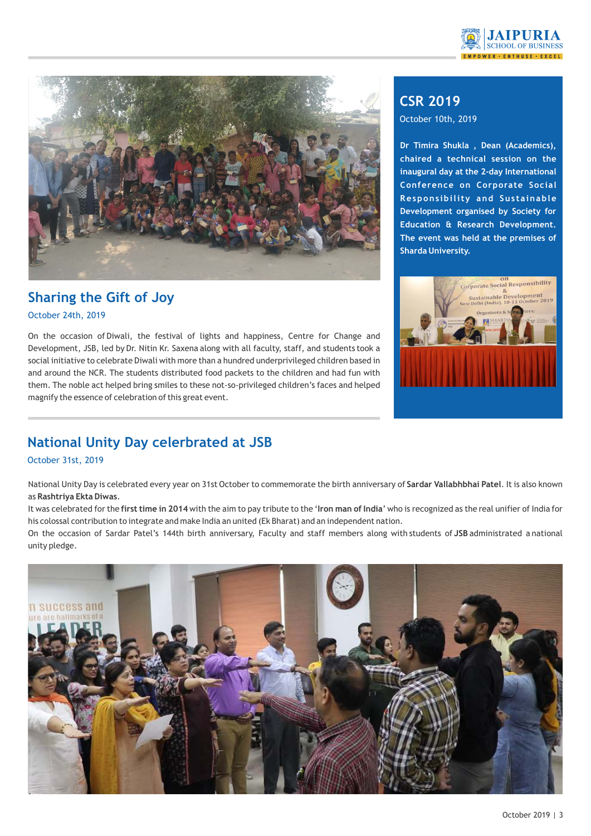



#### **Sharing the Gift of Joy** October 24th, 2019

On the occasion of Diwali, the festival of lights and happiness, Centre for Change and Development, JSB, led by Dr. Nitin Kr. Saxena along with all faculty, staff, and students took a social initiative to celebrate Diwali with more than a hundred underprivileged children based in and around the NCR. The students distributed food packets to the children and had fun with them. The noble act helped bring smiles to these not-so-privileged children's faces and helped magnify the essence of celebration of this great event.

## **CSR 2019**

October 10th, 2019

**Dr Timira Shukla , Dean (Academics), chaired a technical session on the inaugural day at the 2-day International Conference on Corporate Social Responsibility and Sustainable Development organised by Society for Education & Research Development. The event was held at the premises of Sharda University.**



## **National Unity Day celerbrated at JSB**

#### October 31st, 2019

National Unity Day is celebrated every year on 31st October to commemorate the birth anniversary of **Sardar Vallabhbhai Patel**. It is also known as **Rashtriya Ekta Diwas**.

It was celebrated for the **first time in 2014** with the aim to pay tribute to the '**Iron man of India**' who is recognized as the real unifier of India for his colossal contribution to integrate and make India an united (Ek Bharat) and an independent nation.

On the occasion of Sardar Patel's 144th birth anniversary, Faculty and staff members along with students of **JSB** administrated a national unity pledge.

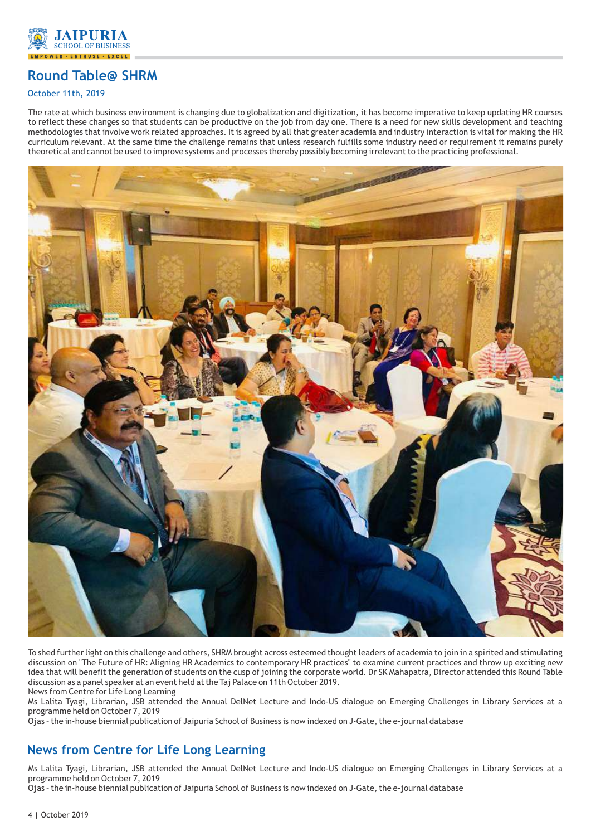

## **Round Table@ SHRM**

#### October 11th, 2019

The rate at which business environment is changing due to globalization and digitization, it has become imperative to keep updating HR courses to reflect these changes so that students can be productive on the job from day one. There is a need for new skills development and teaching methodologies that involve work related approaches. It is agreed by all that greater academia and industry interaction is vital for making the HR curriculum relevant. At the same time the challenge remains that unless research fulfills some industry need or requirement it remains purely theoretical and cannot be used to improve systems and processes thereby possibly becoming irrelevant to the practicing professional.



To shed further light on this challenge and others, SHRM brought across esteemed thought leaders of academia to join in a spirited and stimulating discussion on "The Future of HR: Aligning HR Academics to contemporary HR practices" to examine current practices and throw up exciting new idea that will benefit the generation of students on the cusp of joining the corporate world. Dr SK Mahapatra, Director attended this Round Table discussion as a panel speaker at an event held at the Taj Palace on 11th October 2019.

News from Centre for Life Long Learning

Ms Lalita Tyagi, Librarian, JSB attended the Annual DelNet Lecture and Indo-US dialogue on Emerging Challenges in Library Services at a programme held on October 7, 2019

Ojas – the in-house biennial publication of Jaipuria School of Business is now indexed on J-Gate, the e-journal database

#### **News from Centre for Life Long Learning**

Ms Lalita Tyagi, Librarian, JSB attended the Annual DelNet Lecture and Indo-US dialogue on Emerging Challenges in Library Services at a programme held on October 7, 2019

Ojas – the in-house biennial publication of Jaipuria School of Business is now indexed on J-Gate, the e-journal database